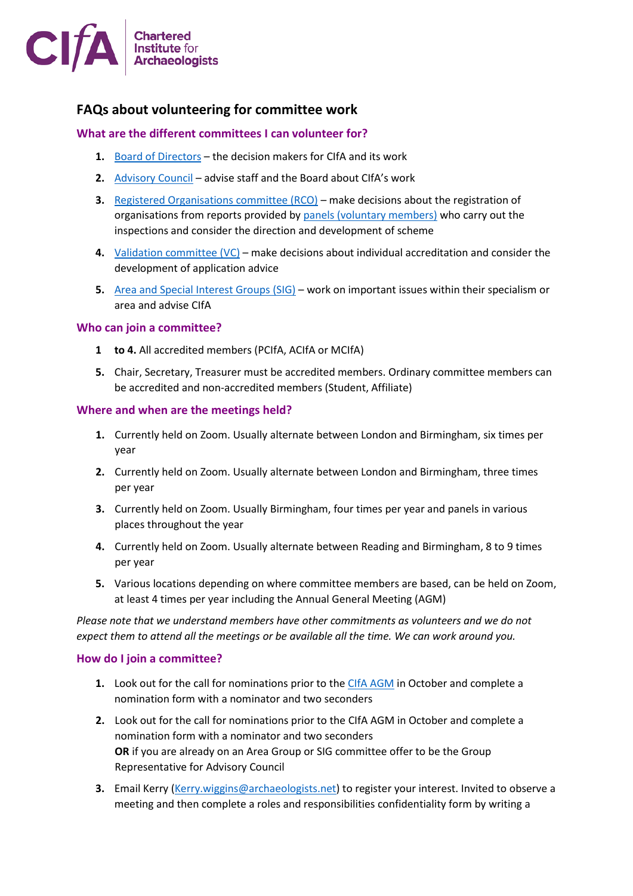

# **FAQs about volunteering for committee work**

## **What are the different committees I can volunteer for?**

- **1.** [Board of Directors](https://www.archaeologists.net/organisation/council) the decision makers for CIfA and its work
- **2.** [Advisory Council](https://www.archaeologists.net/organisation/council) advise staff and the Board about CIfA's work
- **3.** [Registered Organisations committee \(RCO\)](https://www.archaeologists.net/organisation/committees) make decisions about the registration of organisations from reports provided by [panels \(voluntary members\)](https://www.archaeologists.net/regulation/organisations) who carry out the inspections and consider the direction and development of scheme
- **4.** [Validation committee \(VC\)](https://www.archaeologists.net/organisation/committees) make decisions about individual accreditation and consider the development of application advice
- **5.** [Area and Special Interest Groups](https://www.archaeologists.net/groups) (SIG) work on important issues within their specialism or area and advise CIfA

### **Who can join a committee?**

- **1 to 4.** All accredited members (PCIfA, ACIfA or MCIfA)
- **5.** Chair, Secretary, Treasurer must be accredited members. Ordinary committee members can be accredited and non-accredited members (Student, Affiliate)

### **Where and when are the meetings held?**

- **1.** Currently held on Zoom. Usually alternate between London and Birmingham, six times per year
- **2.** Currently held on Zoom. Usually alternate between London and Birmingham, three times per year
- **3.** Currently held on Zoom. Usually Birmingham, four times per year and panels in various places throughout the year
- **4.** Currently held on Zoom. Usually alternate between Reading and Birmingham, 8 to 9 times per year
- **5.** Various locations depending on where committee members are based, can be held on Zoom, at least 4 times per year including the Annual General Meeting (AGM)

*Please note that we understand members have other commitments as volunteers and we do not expect them to attend all the meetings or be available all the time. We can work around you.*

#### **How do I join a committee?**

- **1.** Look out for the call for nominations prior to the CIfA [AGM](https://www.archaeologists.net/cifa/agm) in October and complete a nomination form with a nominator and two seconders
- **2.** Look out for the call for nominations prior to the CIfA AGM in October and complete a nomination form with a nominator and two seconders **OR** if you are already on an Area Group or SIG committee offer to be the Group Representative for Advisory Council
- **3.** Email Kerry [\(Kerry.wiggins@archaeologists.net\)](mailto:Kerry.wiggins@archaeologists.net) to register your interest. Invited to observe a meeting and then complete a roles and responsibilities confidentiality form by writing a